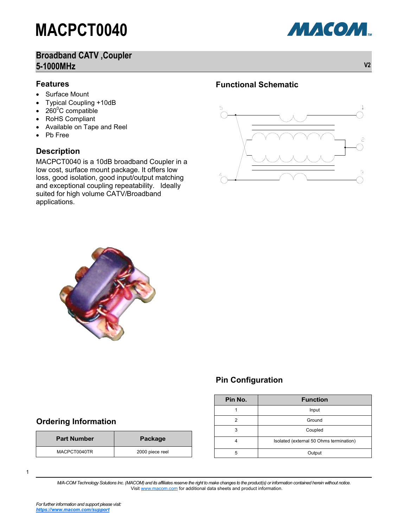### **Broadband CATV ,Coupler 5-1000MHz V2**

#### **Features**

- Surface Mount
- Typical Coupling +10dB
- $260^{\circ}$ C compatible
- RoHS Compliant
- Available on Tape and Reel
- Pb Free

#### **Description**

MACPCT0040 is a 10dB broadband Coupler in a low cost, surface mount package. It offers low loss, good isolation, good input/output matching and exceptional coupling repeatability. Ideally suited for high volume CATV/Broadband applications.

#### **Functional Schematic**





**Part Number Package** MACPCT0040TR 2000 piece reel

#### **Pin Configuration**

| Pin No. | <b>Function</b>                         |  |  |
|---------|-----------------------------------------|--|--|
|         | Input                                   |  |  |
| 2       | Ground                                  |  |  |
| 3       | Coupled                                 |  |  |
| Λ       | Isolated (external 50 Ohms termination) |  |  |
| 5       | Output                                  |  |  |

1

*M/A-COM Technology Solutions Inc. (MACOM) and its affiliates reserve the right to make changes to the product(s) or information contained herein without notice.*  Visit [www.macom.com](http://www.macom.com/) for additional data sheets and product information.

**Ordering Information**

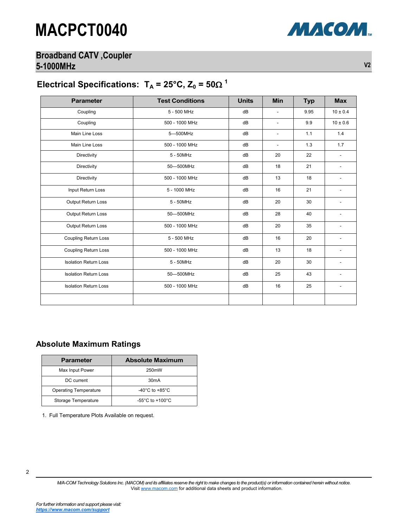### **Broadband CATV ,Coupler 5-1000MHz V2**



## Electrical Specifications:  $T_A = 25^{\circ}C$ ,  $Z_0 = 50\Omega^{-1}$

| <b>Parameter</b>             | <b>Test Conditions</b> | <b>Units</b> | <b>Min</b>               | <b>Typ</b> | <b>Max</b>   |
|------------------------------|------------------------|--------------|--------------------------|------------|--------------|
| Coupling                     | 5 - 500 MHz            | dB           | $\overline{\phantom{a}}$ | 9.95       | $10 \pm 0.4$ |
| Coupling                     | 500 - 1000 MHz         | dB           | $\overline{\phantom{a}}$ | 9.9        | $10 \pm 0.6$ |
| Main Line Loss               | 5-500MHz               | dB           | $\overline{\phantom{a}}$ | 1.1        | 1.4          |
| Main Line Loss               | 500 - 1000 MHz         | dB           | $\blacksquare$           | 1.3        | 1.7          |
| Directivity                  | $5 - 50MHz$            | dB           | 20                       | 22         |              |
| Directivity                  | 50-500MHz              | dB           | 18                       | 21         | ٠            |
| Directivity                  | 500 - 1000 MHz         | dB           | 13                       | 18         |              |
| Input Return Loss            | 5 - 1000 MHz           | dB           | 16                       | 21         |              |
| Output Return Loss           | 5 - 50MHz              | dB           | 20                       | 30         |              |
| Output Return Loss           | 50-500MHz              | dB           | 28                       | 40         |              |
| Output Return Loss           | 500 - 1000 MHz         | dB           | 20                       | 35         |              |
| <b>Coupling Return Loss</b>  | 5 - 500 MHz            | dB           | 16                       | 20         |              |
| <b>Coupling Return Loss</b>  | 500 - 1000 MHz         | dB           | 13                       | 18         |              |
| <b>Isolation Return Loss</b> | 5 - 50MHz              | dB           | 20                       | 30         |              |
| <b>Isolation Return Loss</b> | 50-500MHz              | dB           | 25                       | 43         |              |
| <b>Isolation Return Loss</b> | 500 - 1000 MHz         | dB           | 16                       | 25         |              |
|                              |                        |              |                          |            |              |

*M/A-COM Technology Solutions Inc. (MACOM) and its affiliates reserve the right to make changes to the product(s) or information contained herein without notice.*  Visit [www.macom.com](http://www.macom.com/) for additional data sheets and product information.

#### **Absolute Maximum Ratings**

| <b>Parameter</b>             | <b>Absolute Maximum</b>              |  |  |
|------------------------------|--------------------------------------|--|--|
| Max Input Power              | 250 <sub>m</sub> W                   |  |  |
| DC current                   | 30 <sub>m</sub> A                    |  |  |
| <b>Operating Temperature</b> | -40 $^{\circ}$ C to +85 $^{\circ}$ C |  |  |
| Storage Temperature          | $-55^{\circ}$ C to $+100^{\circ}$ C  |  |  |

1. Full Temperature Plots Available on request.

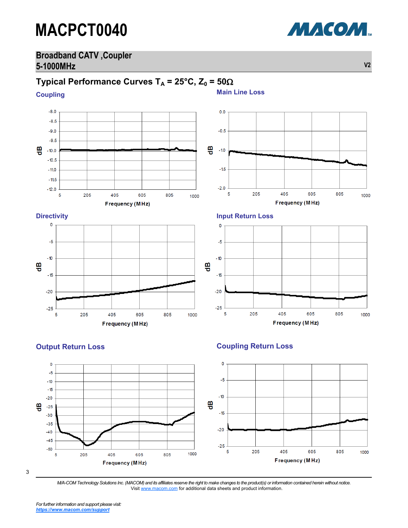### **Broadband CATV ,Coupler 5-1000MHz V2**

### **Typical Performance Curves T<sub>A</sub> = 25°C, Z<sub>0</sub> = 50** $\Omega$

**Coupling**







3

*M/A-COM Technology Solutions Inc. (MACOM) and its affiliates reserve the right to make changes to the product(s) or information contained herein without notice.*  Visit [www.macom.com](http://www.macom.com/) for additional data sheets and product information.

*For further information and support please visit: [https://www.macom.com/support](http://www.macom.com/support)*

**Main Line Loss**

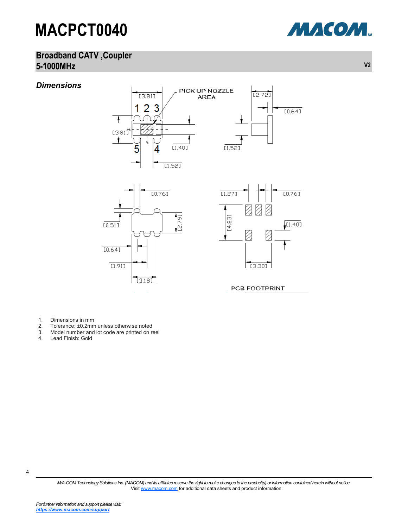

### **Broadband CATV ,Coupler 5-1000MHz V2**



- 1. Dimensions in mm<br>2. Tolerance: ±0.2mm
- 2. Tolerance: ±0.2mm unless otherwise noted<br>3. Model number and lot code are printed on n
- 3. Model number and lot code are printed on reel
- Lead Finish: Gold

4